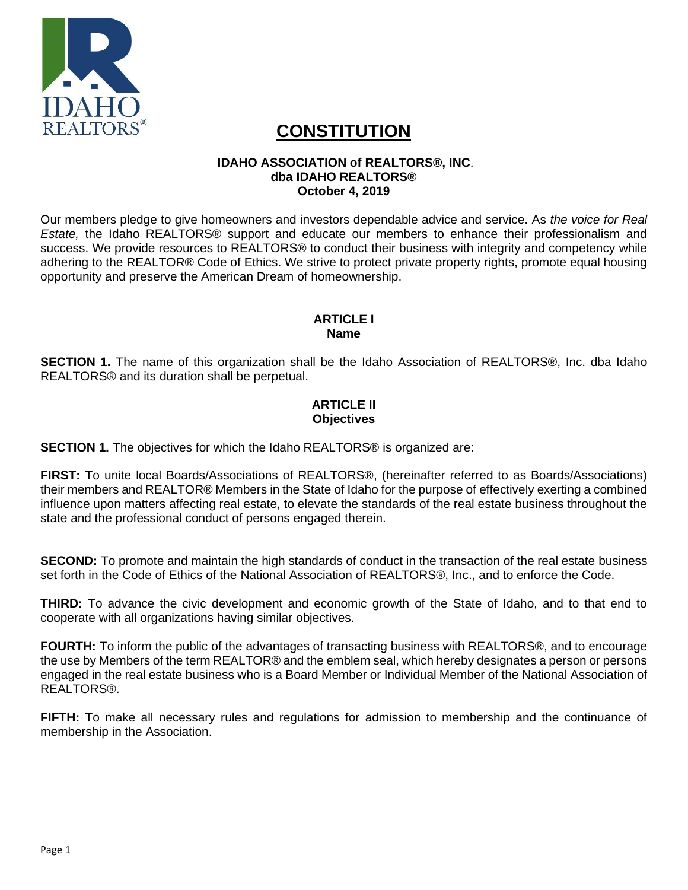

# **CONSTITUTION**

# **IDAHO ASSOCIATION of REALTORS®, INC**. **dba IDAHO REALTORS® October 4, 2019**

Our members pledge to give homeowners and investors dependable advice and service. As *the voice for Real Estate,* the Idaho REALTORS® support and educate our members to enhance their professionalism and success. We provide resources to REALTORS® to conduct their business with integrity and competency while adhering to the REALTOR® Code of Ethics. We strive to protect private property rights, promote equal housing opportunity and preserve the American Dream of homeownership.

#### **ARTICLE I Name**

**SECTION 1.** The name of this organization shall be the Idaho Association of REALTORS®, Inc. dba Idaho REALTORS® and its duration shall be perpetual.

# **ARTICI F II Objectives**

**SECTION 1.** The objectives for which the Idaho REALTORS® is organized are:

**FIRST:** To unite local Boards/Associations of REALTORS®, (hereinafter referred to as Boards/Associations) their members and REALTOR® Members in the State of Idaho for the purpose of effectively exerting a combined influence upon matters affecting real estate, to elevate the standards of the real estate business throughout the state and the professional conduct of persons engaged therein.

**SECOND:** To promote and maintain the high standards of conduct in the transaction of the real estate business set forth in the Code of Ethics of the National Association of REALTORS®, Inc., and to enforce the Code.

**THIRD:** To advance the civic development and economic growth of the State of Idaho, and to that end to cooperate with all organizations having similar objectives.

**FOURTH:** To inform the public of the advantages of transacting business with REALTORS®, and to encourage the use by Members of the term REALTOR® and the emblem seal, which hereby designates a person or persons engaged in the real estate business who is a Board Member or Individual Member of the National Association of REALTORS®.

**FIFTH:** To make all necessary rules and regulations for admission to membership and the continuance of membership in the Association.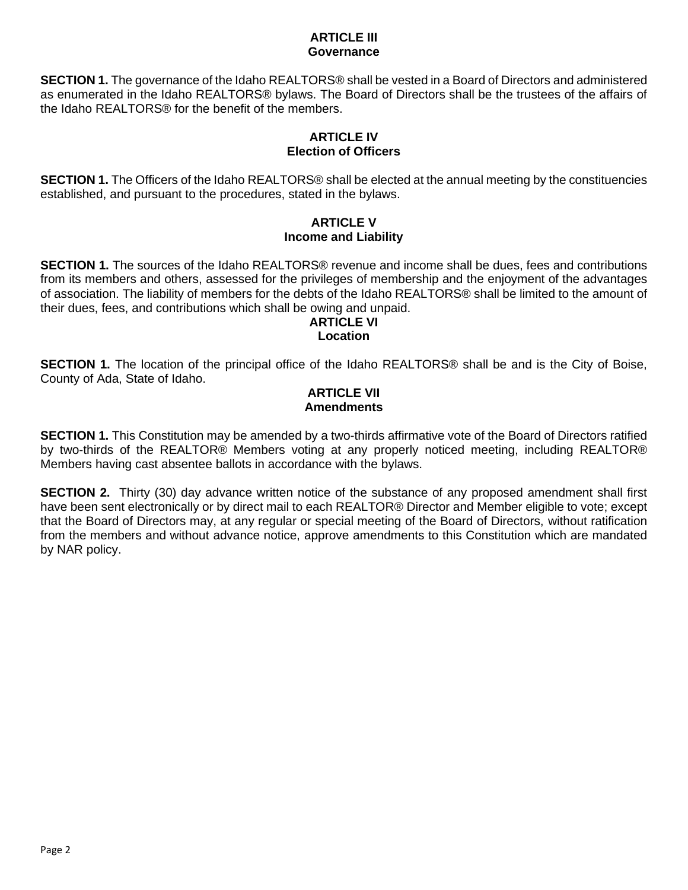#### **ARTICLE III Governance**

**SECTION 1.** The governance of the Idaho REALTORS® shall be vested in a Board of Directors and administered as enumerated in the Idaho REALTORS® bylaws. The Board of Directors shall be the trustees of the affairs of the Idaho REALTORS® for the benefit of the members.

## **ARTICLE IV Election of Officers**

**SECTION 1.** The Officers of the Idaho REALTORS® shall be elected at the annual meeting by the constituencies established, and pursuant to the procedures, stated in the bylaws.

# **ARTICLE V Income and Liability**

**SECTION 1.** The sources of the Idaho REALTORS® revenue and income shall be dues, fees and contributions from its members and others, assessed for the privileges of membership and the enjoyment of the advantages of association. The liability of members for the debts of the Idaho REALTORS® shall be limited to the amount of their dues, fees, and contributions which shall be owing and unpaid.

# **ARTICLE VI Location**

**SECTION 1.** The location of the principal office of the Idaho REALTORS® shall be and is the City of Boise, County of Ada, State of Idaho.

# **ARTICLE VII Amendments**

**SECTION 1.** This Constitution may be amended by a two-thirds affirmative vote of the Board of Directors ratified by two-thirds of the REALTOR® Members voting at any properly noticed meeting, including REALTOR® Members having cast absentee ballots in accordance with the bylaws.

**SECTION 2.** Thirty (30) day advance written notice of the substance of any proposed amendment shall first have been sent electronically or by direct mail to each REALTOR® Director and Member eligible to vote; except that the Board of Directors may, at any regular or special meeting of the Board of Directors, without ratification from the members and without advance notice, approve amendments to this Constitution which are mandated by NAR policy.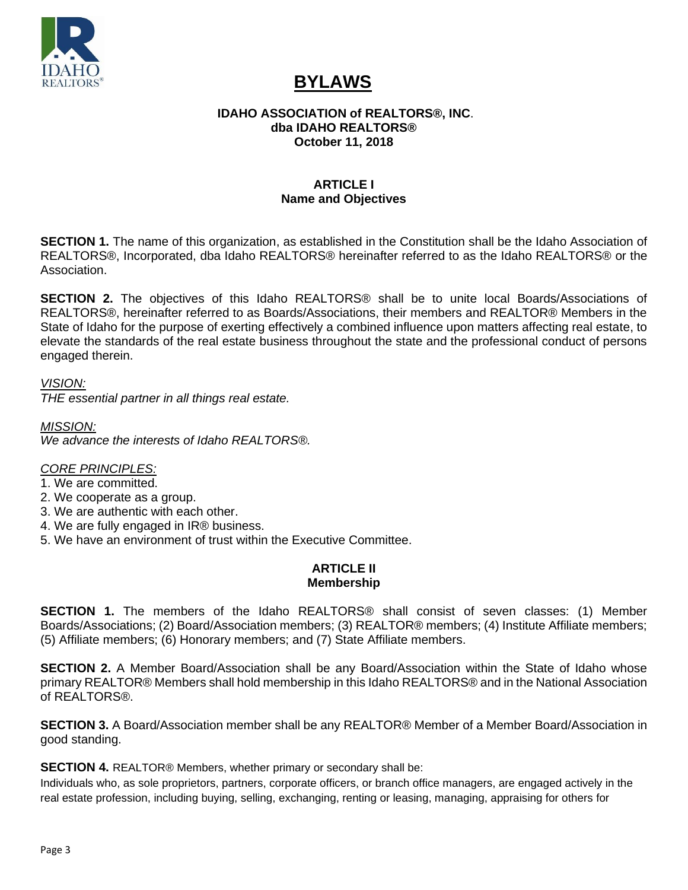

# **BYLAWS**

#### **IDAHO ASSOCIATION of REALTORS®, INC**. **dba IDAHO REALTORS® October 11, 2018**

# **ARTICLE I Name and Objectives**

**SECTION 1.** The name of this organization, as established in the Constitution shall be the Idaho Association of REALTORS®, Incorporated, dba Idaho REALTORS® hereinafter referred to as the Idaho REALTORS® or the Association.

**SECTION 2.** The objectives of this Idaho REALTORS® shall be to unite local Boards/Associations of REALTORS®, hereinafter referred to as Boards/Associations, their members and REALTOR® Members in the State of Idaho for the purpose of exerting effectively a combined influence upon matters affecting real estate, to elevate the standards of the real estate business throughout the state and the professional conduct of persons engaged therein.

*VISION:*

*THE essential partner in all things real estate.*

*MISSION: We advance the interests of Idaho REALTORS®.*

## *CORE PRINCIPLES:*

1. We are committed.

- 2. We cooperate as a group.
- 3. We are authentic with each other.
- 4. We are fully engaged in IR® business.
- 5. We have an environment of trust within the Executive Committee.

## **ARTICLE II Membership**

**SECTION 1.** The members of the Idaho REALTORS® shall consist of seven classes: (1) Member Boards/Associations; (2) Board/Association members; (3) REALTOR® members; (4) Institute Affiliate members; (5) Affiliate members; (6) Honorary members; and (7) State Affiliate members.

**SECTION 2.** A Member Board/Association shall be any Board/Association within the State of Idaho whose primary REALTOR® Members shall hold membership in this Idaho REALTORS® and in the National Association of REALTORS®.

**SECTION 3.** A Board/Association member shall be any REALTOR® Member of a Member Board/Association in good standing.

**SECTION 4.** REALTOR® Members, whether primary or secondary shall be:

Individuals who, as sole proprietors, partners, corporate officers, or branch office managers, are engaged actively in the real estate profession, including buying, selling, exchanging, renting or leasing, managing, appraising for others for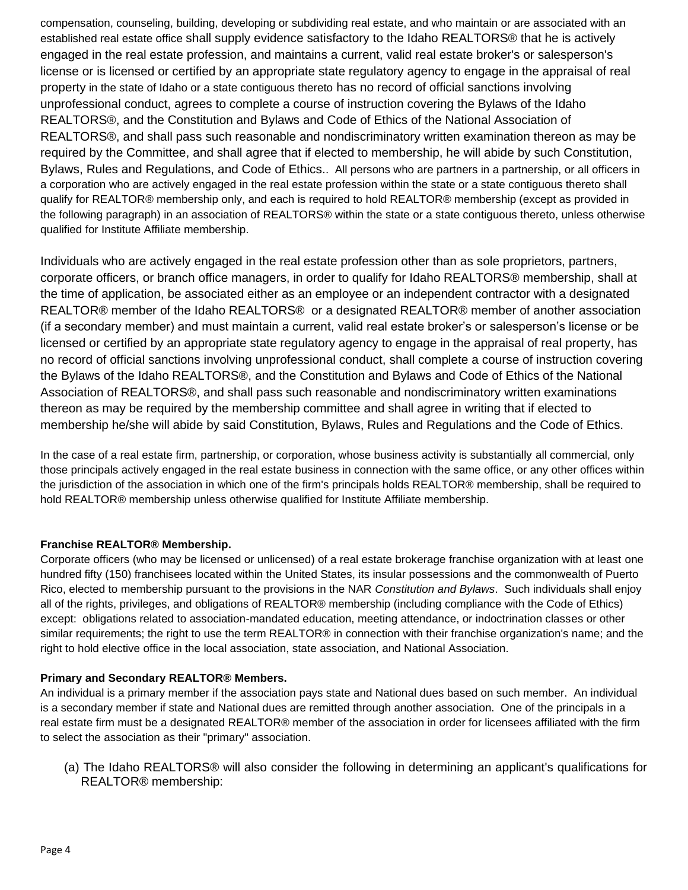compensation, counseling, building, developing or subdividing real estate, and who maintain or are associated with an established real estate office shall supply evidence satisfactory to the Idaho REALTORS® that he is actively engaged in the real estate profession, and maintains a current, valid real estate broker's or salesperson's license or is licensed or certified by an appropriate state regulatory agency to engage in the appraisal of real property in the state of Idaho or a state contiguous thereto has no record of official sanctions involving unprofessional conduct, agrees to complete a course of instruction covering the Bylaws of the Idaho REALTORS®, and the Constitution and Bylaws and Code of Ethics of the National Association of REALTORS®, and shall pass such reasonable and nondiscriminatory written examination thereon as may be required by the Committee, and shall agree that if elected to membership, he will abide by such Constitution, Bylaws, Rules and Regulations, and Code of Ethics.. All persons who are partners in a partnership, or all officers in a corporation who are actively engaged in the real estate profession within the state or a state contiguous thereto shall qualify for REALTOR® membership only, and each is required to hold REALTOR® membership (except as provided in the following paragraph) in an association of REALTORS® within the state or a state contiguous thereto, unless otherwise qualified for Institute Affiliate membership.

Individuals who are actively engaged in the real estate profession other than as sole proprietors, partners, corporate officers, or branch office managers, in order to qualify for Idaho REALTORS® membership, shall at the time of application, be associated either as an employee or an independent contractor with a designated REALTOR® member of the Idaho REALTORS® or a designated REALTOR® member of another association (if a secondary member) and must maintain a current, valid real estate broker's or salesperson's license or be licensed or certified by an appropriate state regulatory agency to engage in the appraisal of real property, has no record of official sanctions involving unprofessional conduct, shall complete a course of instruction covering the Bylaws of the Idaho REALTORS®, and the Constitution and Bylaws and Code of Ethics of the National Association of REALTORS®, and shall pass such reasonable and nondiscriminatory written examinations thereon as may be required by the membership committee and shall agree in writing that if elected to membership he/she will abide by said Constitution, Bylaws, Rules and Regulations and the Code of Ethics.

In the case of a real estate firm, partnership, or corporation, whose business activity is substantially all commercial, only those principals actively engaged in the real estate business in connection with the same office, or any other offices within the jurisdiction of the association in which one of the firm's principals holds REALTOR® membership, shall be required to hold REALTOR® membership unless otherwise qualified for Institute Affiliate membership.

#### **Franchise REALTOR® Membership.**

Corporate officers (who may be licensed or unlicensed) of a real estate brokerage franchise organization with at least one hundred fifty (150) franchisees located within the United States, its insular possessions and the commonwealth of Puerto Rico, elected to membership pursuant to the provisions in the NAR *Constitution and Bylaws*. Such individuals shall enjoy all of the rights, privileges, and obligations of REALTOR® membership (including compliance with the Code of Ethics) except: obligations related to association-mandated education, meeting attendance, or indoctrination classes or other similar requirements; the right to use the term REALTOR® in connection with their franchise organization's name; and the right to hold elective office in the local association, state association, and National Association.

#### **Primary and Secondary REALTOR® Members.**

An individual is a primary member if the association pays state and National dues based on such member. An individual is a secondary member if state and National dues are remitted through another association. One of the principals in a real estate firm must be a designated REALTOR® member of the association in order for licensees affiliated with the firm to select the association as their "primary" association.

(a) The Idaho REALTORS® will also consider the following in determining an applicant's qualifications for REALTOR® membership: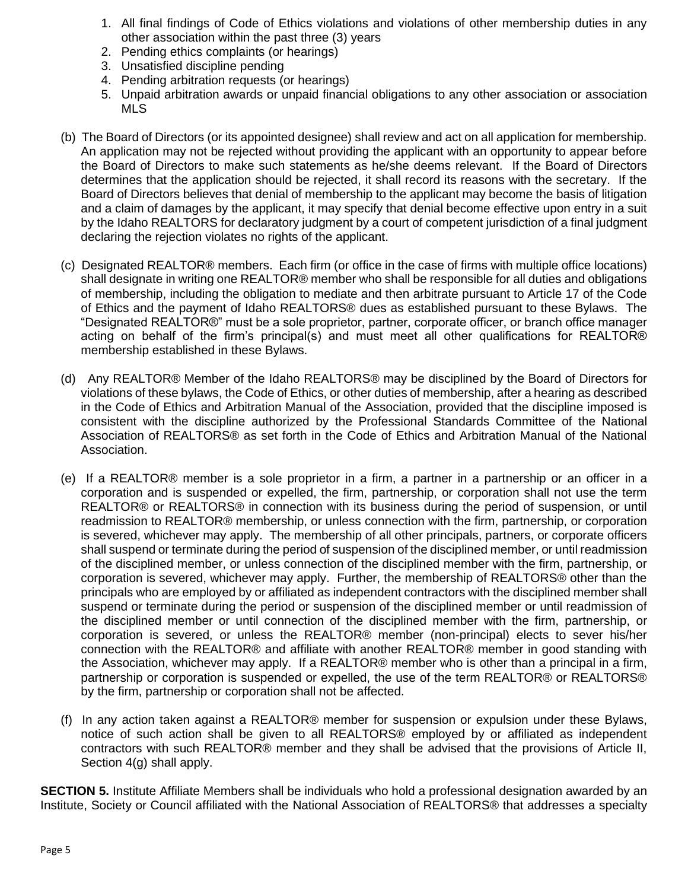- 1. All final findings of Code of Ethics violations and violations of other membership duties in any other association within the past three (3) years
- 2. Pending ethics complaints (or hearings)
- 3. Unsatisfied discipline pending
- 4. Pending arbitration requests (or hearings)
- 5. Unpaid arbitration awards or unpaid financial obligations to any other association or association MLS
- (b) The Board of Directors (or its appointed designee) shall review and act on all application for membership. An application may not be rejected without providing the applicant with an opportunity to appear before the Board of Directors to make such statements as he/she deems relevant. If the Board of Directors determines that the application should be rejected, it shall record its reasons with the secretary. If the Board of Directors believes that denial of membership to the applicant may become the basis of litigation and a claim of damages by the applicant, it may specify that denial become effective upon entry in a suit by the Idaho REALTORS for declaratory judgment by a court of competent jurisdiction of a final judgment declaring the rejection violates no rights of the applicant.
- (c) Designated REALTOR® members. Each firm (or office in the case of firms with multiple office locations) shall designate in writing one REALTOR® member who shall be responsible for all duties and obligations of membership, including the obligation to mediate and then arbitrate pursuant to Article 17 of the Code of Ethics and the payment of Idaho REALTORS® dues as established pursuant to these Bylaws. The "Designated REALTOR®" must be a sole proprietor, partner, corporate officer, or branch office manager acting on behalf of the firm's principal(s) and must meet all other qualifications for REALTOR® membership established in these Bylaws.
- (d) Any REALTOR® Member of the Idaho REALTORS® may be disciplined by the Board of Directors for violations of these bylaws, the Code of Ethics, or other duties of membership, after a hearing as described in the Code of Ethics and Arbitration Manual of the Association, provided that the discipline imposed is consistent with the discipline authorized by the Professional Standards Committee of the National Association of REALTORS® as set forth in the Code of Ethics and Arbitration Manual of the National Association.
- (e) If a REALTOR® member is a sole proprietor in a firm, a partner in a partnership or an officer in a corporation and is suspended or expelled, the firm, partnership, or corporation shall not use the term REALTOR® or REALTORS® in connection with its business during the period of suspension, or until readmission to REALTOR® membership, or unless connection with the firm, partnership, or corporation is severed, whichever may apply. The membership of all other principals, partners, or corporate officers shall suspend or terminate during the period of suspension of the disciplined member, or until readmission of the disciplined member, or unless connection of the disciplined member with the firm, partnership, or corporation is severed, whichever may apply. Further, the membership of REALTORS® other than the principals who are employed by or affiliated as independent contractors with the disciplined member shall suspend or terminate during the period or suspension of the disciplined member or until readmission of the disciplined member or until connection of the disciplined member with the firm, partnership, or corporation is severed, or unless the REALTOR® member (non-principal) elects to sever his/her connection with the REALTOR® and affiliate with another REALTOR® member in good standing with the Association, whichever may apply. If a REALTOR® member who is other than a principal in a firm, partnership or corporation is suspended or expelled, the use of the term REALTOR® or REALTORS® by the firm, partnership or corporation shall not be affected.
- (f) In any action taken against a REALTOR® member for suspension or expulsion under these Bylaws, notice of such action shall be given to all REALTORS® employed by or affiliated as independent contractors with such REALTOR® member and they shall be advised that the provisions of Article II, Section 4(g) shall apply.

**SECTION 5.** Institute Affiliate Members shall be individuals who hold a professional designation awarded by an Institute, Society or Council affiliated with the National Association of REALTORS® that addresses a specialty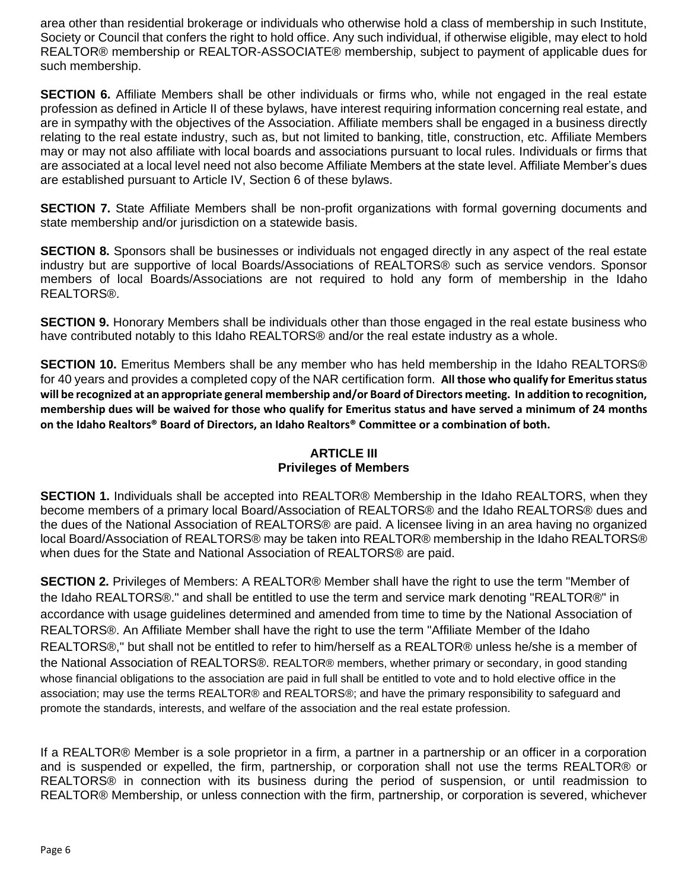area other than residential brokerage or individuals who otherwise hold a class of membership in such Institute, Society or Council that confers the right to hold office. Any such individual, if otherwise eligible, may elect to hold REALTOR® membership or REALTOR-ASSOCIATE® membership, subject to payment of applicable dues for such membership.

**SECTION 6.** Affiliate Members shall be other individuals or firms who, while not engaged in the real estate profession as defined in Article II of these bylaws, have interest requiring information concerning real estate, and are in sympathy with the objectives of the Association. Affiliate members shall be engaged in a business directly relating to the real estate industry, such as, but not limited to banking, title, construction, etc. Affiliate Members may or may not also affiliate with local boards and associations pursuant to local rules. Individuals or firms that are associated at a local level need not also become Affiliate Members at the state level. Affiliate Member's dues are established pursuant to Article IV, Section 6 of these bylaws.

**SECTION 7.** State Affiliate Members shall be non-profit organizations with formal governing documents and state membership and/or jurisdiction on a statewide basis.

**SECTION 8.** Sponsors shall be businesses or individuals not engaged directly in any aspect of the real estate industry but are supportive of local Boards/Associations of REALTORS® such as service vendors. Sponsor members of local Boards/Associations are not required to hold any form of membership in the Idaho REALTORS®.

**SECTION 9.** Honorary Members shall be individuals other than those engaged in the real estate business who have contributed notably to this Idaho REALTORS® and/or the real estate industry as a whole.

**SECTION 10.** Emeritus Members shall be any member who has held membership in the Idaho REALTORS® for 40 years and provides a completed copy of the NAR certification form. **All those who qualify for Emeritus status will be recognized at an appropriate general membership and/or Board of Directors meeting. In addition to recognition, membership dues will be waived for those who qualify for Emeritus status and have served a minimum of 24 months on the Idaho Realtors® Board of Directors, an Idaho Realtors® Committee or a combination of both.** 

# **ARTICLE III Privileges of Members**

**SECTION 1.** Individuals shall be accepted into REALTOR® Membership in the Idaho REALTORS, when they become members of a primary local Board/Association of REALTORS® and the Idaho REALTORS® dues and the dues of the National Association of REALTORS® are paid. A licensee living in an area having no organized local Board/Association of REALTORS® may be taken into REALTOR® membership in the Idaho REALTORS® when dues for the State and National Association of REALTORS® are paid.

**SECTION 2.** Privileges of Members: A REALTOR® Member shall have the right to use the term "Member of the Idaho REALTORS®." and shall be entitled to use the term and service mark denoting "REALTOR®" in accordance with usage guidelines determined and amended from time to time by the National Association of REALTORS®. An Affiliate Member shall have the right to use the term "Affiliate Member of the Idaho REALTORS®," but shall not be entitled to refer to him/herself as a REALTOR® unless he/she is a member of the National Association of REALTORS®. REALTOR® members, whether primary or secondary, in good standing whose financial obligations to the association are paid in full shall be entitled to vote and to hold elective office in the association; may use the terms REALTOR® and REALTORS®; and have the primary responsibility to safeguard and promote the standards, interests, and welfare of the association and the real estate profession.

If a REALTOR® Member is a sole proprietor in a firm, a partner in a partnership or an officer in a corporation and is suspended or expelled, the firm, partnership, or corporation shall not use the terms REALTOR® or REALTORS® in connection with its business during the period of suspension, or until readmission to REALTOR® Membership, or unless connection with the firm, partnership, or corporation is severed, whichever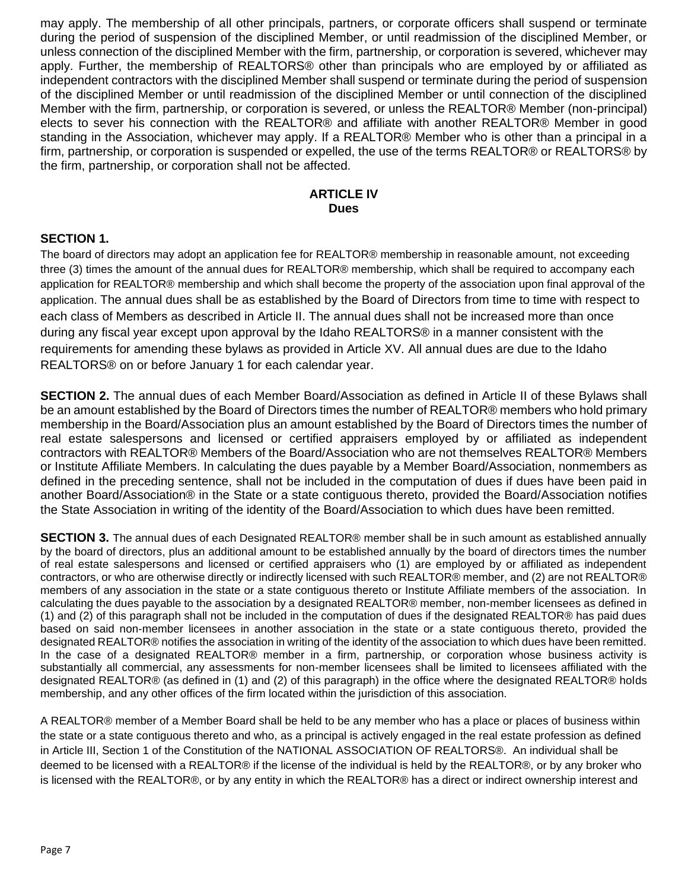may apply. The membership of all other principals, partners, or corporate officers shall suspend or terminate during the period of suspension of the disciplined Member, or until readmission of the disciplined Member, or unless connection of the disciplined Member with the firm, partnership, or corporation is severed, whichever may apply. Further, the membership of REALTORS® other than principals who are employed by or affiliated as independent contractors with the disciplined Member shall suspend or terminate during the period of suspension of the disciplined Member or until readmission of the disciplined Member or until connection of the disciplined Member with the firm, partnership, or corporation is severed, or unless the REALTOR® Member (non-principal) elects to sever his connection with the REALTOR® and affiliate with another REALTOR® Member in good standing in the Association, whichever may apply. If a REALTOR® Member who is other than a principal in a firm, partnership, or corporation is suspended or expelled, the use of the terms REALTOR® or REALTORS® by the firm, partnership, or corporation shall not be affected.

#### **ARTICLE IV Dues**

## **SECTION 1.**

The board of directors may adopt an application fee for REALTOR® membership in reasonable amount, not exceeding three (3) times the amount of the annual dues for REALTOR® membership, which shall be required to accompany each application for REALTOR® membership and which shall become the property of the association upon final approval of the application. The annual dues shall be as established by the Board of Directors from time to time with respect to each class of Members as described in Article II. The annual dues shall not be increased more than once during any fiscal year except upon approval by the Idaho REALTORS® in a manner consistent with the requirements for amending these bylaws as provided in Article XV. All annual dues are due to the Idaho REALTORS® on or before January 1 for each calendar year.

**SECTION 2.** The annual dues of each Member Board/Association as defined in Article II of these Bylaws shall be an amount established by the Board of Directors times the number of REALTOR® members who hold primary membership in the Board/Association plus an amount established by the Board of Directors times the number of real estate salespersons and licensed or certified appraisers employed by or affiliated as independent contractors with REALTOR® Members of the Board/Association who are not themselves REALTOR® Members or Institute Affiliate Members. In calculating the dues payable by a Member Board/Association, nonmembers as defined in the preceding sentence, shall not be included in the computation of dues if dues have been paid in another Board/Association® in the State or a state contiguous thereto, provided the Board/Association notifies the State Association in writing of the identity of the Board/Association to which dues have been remitted.

**SECTION 3.** The annual dues of each Designated REALTOR® member shall be in such amount as established annually by the board of directors, plus an additional amount to be established annually by the board of directors times the number of real estate salespersons and licensed or certified appraisers who (1) are employed by or affiliated as independent contractors, or who are otherwise directly or indirectly licensed with such REALTOR® member, and (2) are not REALTOR® members of any association in the state or a state contiguous thereto or Institute Affiliate members of the association. In calculating the dues payable to the association by a designated REALTOR® member, non-member licensees as defined in (1) and (2) of this paragraph shall not be included in the computation of dues if the designated REALTOR® has paid dues based on said non-member licensees in another association in the state or a state contiguous thereto, provided the designated REALTOR® notifies the association in writing of the identity of the association to which dues have been remitted. In the case of a designated REALTOR® member in a firm, partnership, or corporation whose business activity is substantially all commercial, any assessments for non-member licensees shall be limited to licensees affiliated with the designated REALTOR® (as defined in (1) and (2) of this paragraph) in the office where the designated REALTOR® holds membership, and any other offices of the firm located within the jurisdiction of this association.

A REALTOR® member of a Member Board shall be held to be any member who has a place or places of business within the state or a state contiguous thereto and who, as a principal is actively engaged in the real estate profession as defined in Article III, Section 1 of the Constitution of the NATIONAL ASSOCIATION OF REALTORS®. An individual shall be deemed to be licensed with a REALTOR® if the license of the individual is held by the REALTOR®, or by any broker who is licensed with the REALTOR®, or by any entity in which the REALTOR® has a direct or indirect ownership interest and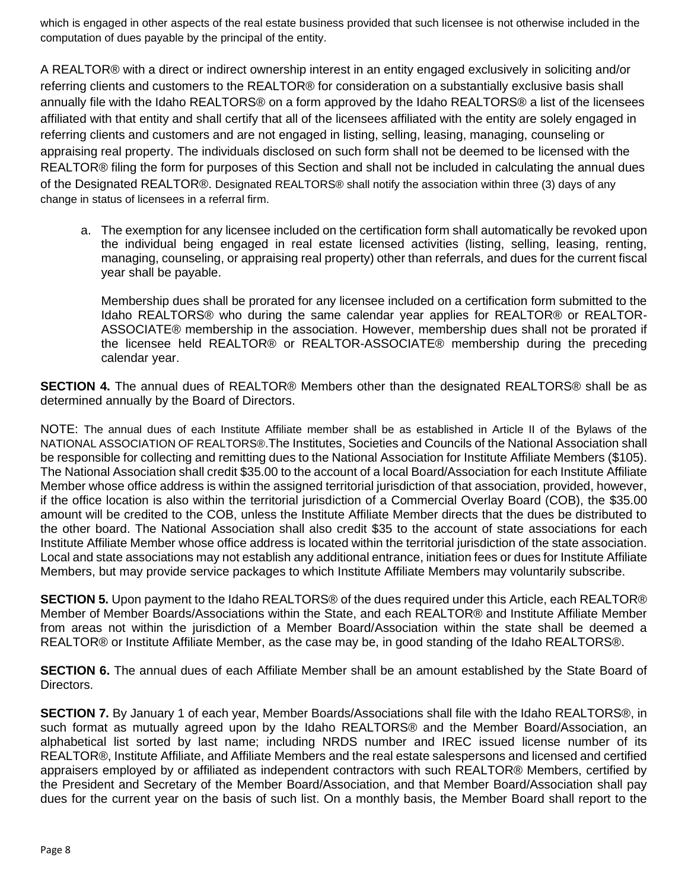which is engaged in other aspects of the real estate business provided that such licensee is not otherwise included in the computation of dues payable by the principal of the entity.

A REALTOR® with a direct or indirect ownership interest in an entity engaged exclusively in soliciting and/or referring clients and customers to the REALTOR® for consideration on a substantially exclusive basis shall annually file with the Idaho REALTORS® on a form approved by the Idaho REALTORS® a list of the licensees affiliated with that entity and shall certify that all of the licensees affiliated with the entity are solely engaged in referring clients and customers and are not engaged in listing, selling, leasing, managing, counseling or appraising real property. The individuals disclosed on such form shall not be deemed to be licensed with the REALTOR® filing the form for purposes of this Section and shall not be included in calculating the annual dues of the Designated REALTOR®. Designated REALTORS® shall notify the association within three (3) days of any change in status of licensees in a referral firm.

a. The exemption for any licensee included on the certification form shall automatically be revoked upon the individual being engaged in real estate licensed activities (listing, selling, leasing, renting, managing, counseling, or appraising real property) other than referrals, and dues for the current fiscal year shall be payable.

Membership dues shall be prorated for any licensee included on a certification form submitted to the Idaho REALTORS® who during the same calendar year applies for REALTOR® or REALTOR-ASSOCIATE® membership in the association. However, membership dues shall not be prorated if the licensee held REALTOR® or REALTOR-ASSOCIATE® membership during the preceding calendar year.

**SECTION 4.** The annual dues of REALTOR® Members other than the designated REALTORS® shall be as determined annually by the Board of Directors.

NOTE: The annual dues of each Institute Affiliate member shall be as established in Article II of the Bylaws of the NATIONAL ASSOCIATION OF REALTORS®.The Institutes, Societies and Councils of the National Association shall be responsible for collecting and remitting dues to the National Association for Institute Affiliate Members (\$105). The National Association shall credit \$35.00 to the account of a local Board/Association for each Institute Affiliate Member whose office address is within the assigned territorial jurisdiction of that association, provided, however, if the office location is also within the territorial jurisdiction of a Commercial Overlay Board (COB), the \$35.00 amount will be credited to the COB, unless the Institute Affiliate Member directs that the dues be distributed to the other board. The National Association shall also credit \$35 to the account of state associations for each Institute Affiliate Member whose office address is located within the territorial jurisdiction of the state association. Local and state associations may not establish any additional entrance, initiation fees or dues for Institute Affiliate Members, but may provide service packages to which Institute Affiliate Members may voluntarily subscribe.

**SECTION 5.** Upon payment to the Idaho REALTORS® of the dues required under this Article, each REALTOR® Member of Member Boards/Associations within the State, and each REALTOR® and Institute Affiliate Member from areas not within the jurisdiction of a Member Board/Association within the state shall be deemed a REALTOR® or Institute Affiliate Member, as the case may be, in good standing of the Idaho REALTORS®.

**SECTION 6.** The annual dues of each Affiliate Member shall be an amount established by the State Board of Directors.

**SECTION 7.** By January 1 of each year, Member Boards/Associations shall file with the Idaho REALTORS®, in such format as mutually agreed upon by the Idaho REALTORS® and the Member Board/Association, an alphabetical list sorted by last name; including NRDS number and IREC issued license number of its REALTOR®, Institute Affiliate, and Affiliate Members and the real estate salespersons and licensed and certified appraisers employed by or affiliated as independent contractors with such REALTOR® Members, certified by the President and Secretary of the Member Board/Association, and that Member Board/Association shall pay dues for the current year on the basis of such list. On a monthly basis, the Member Board shall report to the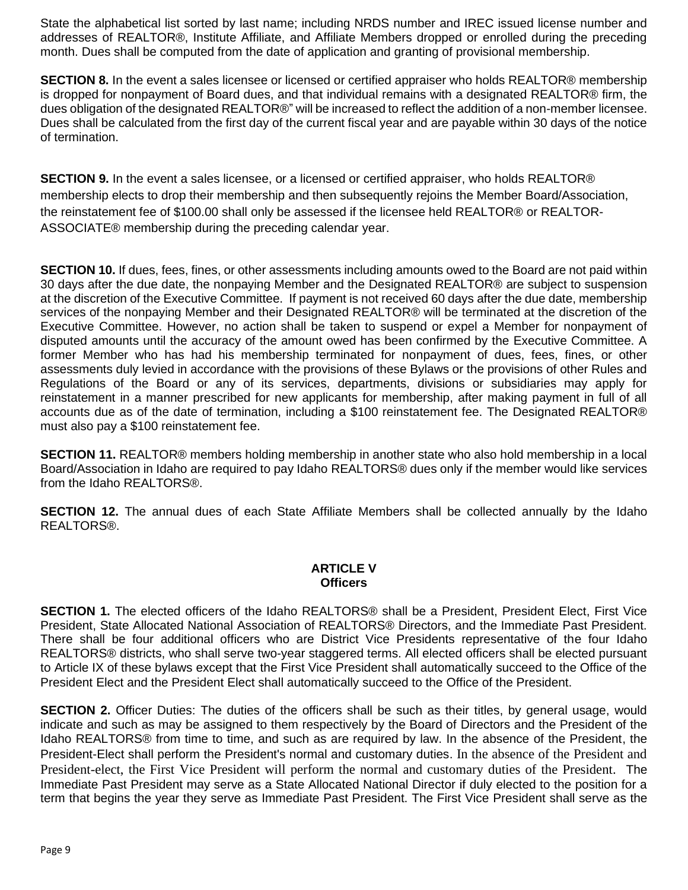State the alphabetical list sorted by last name; including NRDS number and IREC issued license number and addresses of REALTOR®, Institute Affiliate, and Affiliate Members dropped or enrolled during the preceding month. Dues shall be computed from the date of application and granting of provisional membership.

**SECTION 8.** In the event a sales licensee or licensed or certified appraiser who holds REALTOR® membership is dropped for nonpayment of Board dues, and that individual remains with a designated REALTOR® firm, the dues obligation of the designated REALTOR®" will be increased to reflect the addition of a non-member licensee. Dues shall be calculated from the first day of the current fiscal year and are payable within 30 days of the notice of termination.

**SECTION 9.** In the event a sales licensee, or a licensed or certified appraiser, who holds REALTOR® membership elects to drop their membership and then subsequently rejoins the Member Board/Association, the reinstatement fee of \$100.00 shall only be assessed if the licensee held REALTOR® or REALTOR-ASSOCIATE® membership during the preceding calendar year.

**SECTION 10.** If dues, fees, fines, or other assessments including amounts owed to the Board are not paid within 30 days after the due date, the nonpaying Member and the Designated REALTOR® are subject to suspension at the discretion of the Executive Committee. If payment is not received 60 days after the due date, membership services of the nonpaying Member and their Designated REALTOR® will be terminated at the discretion of the Executive Committee. However, no action shall be taken to suspend or expel a Member for nonpayment of disputed amounts until the accuracy of the amount owed has been confirmed by the Executive Committee. A former Member who has had his membership terminated for nonpayment of dues, fees, fines, or other assessments duly levied in accordance with the provisions of these Bylaws or the provisions of other Rules and Regulations of the Board or any of its services, departments, divisions or subsidiaries may apply for reinstatement in a manner prescribed for new applicants for membership, after making payment in full of all accounts due as of the date of termination, including a \$100 reinstatement fee. The Designated REALTOR® must also pay a \$100 reinstatement fee.

**SECTION 11.** REALTOR® members holding membership in another state who also hold membership in a local Board/Association in Idaho are required to pay Idaho REALTORS® dues only if the member would like services from the Idaho REALTORS®.

**SECTION 12.** The annual dues of each State Affiliate Members shall be collected annually by the Idaho REALTORS®.

## **ARTICLE V Officers**

**SECTION 1.** The elected officers of the Idaho REALTORS® shall be a President, President Elect, First Vice President, State Allocated National Association of REALTORS® Directors, and the Immediate Past President. There shall be four additional officers who are District Vice Presidents representative of the four Idaho REALTORS® districts, who shall serve two-year staggered terms. All elected officers shall be elected pursuant to Article IX of these bylaws except that the First Vice President shall automatically succeed to the Office of the President Elect and the President Elect shall automatically succeed to the Office of the President.

**SECTION 2.** Officer Duties: The duties of the officers shall be such as their titles, by general usage, would indicate and such as may be assigned to them respectively by the Board of Directors and the President of the Idaho REALTORS® from time to time, and such as are required by law. In the absence of the President, the President-Elect shall perform the President's normal and customary duties. In the absence of the President and President-elect, the First Vice President will perform the normal and customary duties of the President. The Immediate Past President may serve as a State Allocated National Director if duly elected to the position for a term that begins the year they serve as Immediate Past President. The First Vice President shall serve as the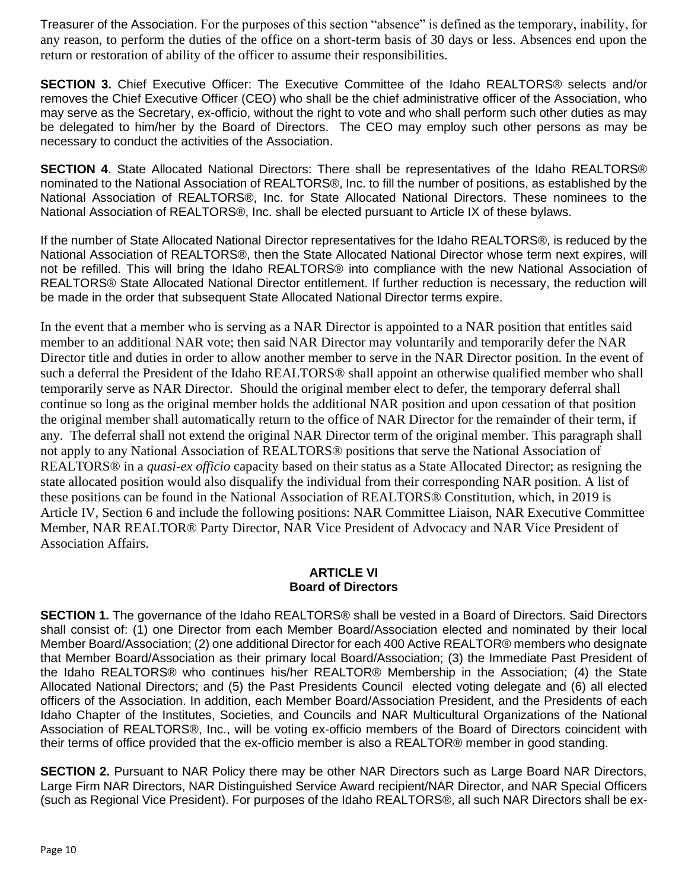Treasurer of the Association. For the purposes of this section "absence" is defined as the temporary, inability, for any reason, to perform the duties of the office on a short-term basis of 30 days or less. Absences end upon the return or restoration of ability of the officer to assume their responsibilities.

**SECTION 3.** Chief Executive Officer: The Executive Committee of the Idaho REALTORS® selects and/or removes the Chief Executive Officer (CEO) who shall be the chief administrative officer of the Association, who may serve as the Secretary, ex-officio, without the right to vote and who shall perform such other duties as may be delegated to him/her by the Board of Directors. The CEO may employ such other persons as may be necessary to conduct the activities of the Association.

**SECTION 4**. State Allocated National Directors: There shall be representatives of the Idaho REALTORS® nominated to the National Association of REALTORS®, Inc. to fill the number of positions, as established by the National Association of REALTORS®, Inc. for State Allocated National Directors. These nominees to the National Association of REALTORS®, Inc. shall be elected pursuant to Article IX of these bylaws.

If the number of State Allocated National Director representatives for the Idaho REALTORS®, is reduced by the National Association of REALTORS®, then the State Allocated National Director whose term next expires, will not be refilled. This will bring the Idaho REALTORS® into compliance with the new National Association of REALTORS® State Allocated National Director entitlement. If further reduction is necessary, the reduction will be made in the order that subsequent State Allocated National Director terms expire.

In the event that a member who is serving as a NAR Director is appointed to a NAR position that entitles said member to an additional NAR vote; then said NAR Director may voluntarily and temporarily defer the NAR Director title and duties in order to allow another member to serve in the NAR Director position. In the event of such a deferral the President of the Idaho REALTORS® shall appoint an otherwise qualified member who shall temporarily serve as NAR Director. Should the original member elect to defer, the temporary deferral shall continue so long as the original member holds the additional NAR position and upon cessation of that position the original member shall automatically return to the office of NAR Director for the remainder of their term, if any. The deferral shall not extend the original NAR Director term of the original member. This paragraph shall not apply to any National Association of REALTORS® positions that serve the National Association of REALTORS® in a *quasi-ex officio* capacity based on their status as a State Allocated Director; as resigning the state allocated position would also disqualify the individual from their corresponding NAR position. A list of these positions can be found in the National Association of REALTORS® Constitution, which, in 2019 is Article IV, Section 6 and include the following positions: NAR Committee Liaison, NAR Executive Committee Member, NAR REALTOR® Party Director, NAR Vice President of Advocacy and NAR Vice President of Association Affairs.

## **ARTICLE VI Board of Directors**

**SECTION 1.** The governance of the Idaho REALTORS® shall be vested in a Board of Directors. Said Directors shall consist of: (1) one Director from each Member Board/Association elected and nominated by their local Member Board/Association; (2) one additional Director for each 400 Active REALTOR® members who designate that Member Board/Association as their primary local Board/Association; (3) the Immediate Past President of the Idaho REALTORS® who continues his/her REALTOR® Membership in the Association; (4) the State Allocated National Directors; and (5) the Past Presidents Council elected voting delegate and (6) all elected officers of the Association. In addition, each Member Board/Association President, and the Presidents of each Idaho Chapter of the Institutes, Societies, and Councils and NAR Multicultural Organizations of the National Association of REALTORS®, Inc., will be voting ex-officio members of the Board of Directors coincident with their terms of office provided that the ex-officio member is also a REALTOR® member in good standing.

**SECTION 2.** Pursuant to NAR Policy there may be other NAR Directors such as Large Board NAR Directors, Large Firm NAR Directors, NAR Distinguished Service Award recipient/NAR Director, and NAR Special Officers (such as Regional Vice President). For purposes of the Idaho REALTORS®, all such NAR Directors shall be ex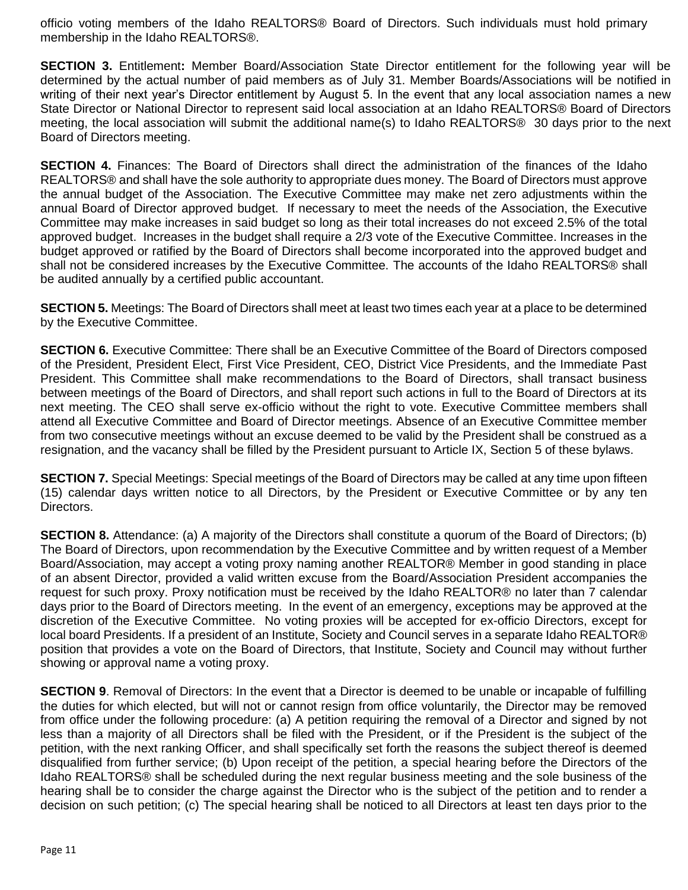officio voting members of the Idaho REALTORS® Board of Directors. Such individuals must hold primary membership in the Idaho REALTORS®.

**SECTION 3.** Entitlement**:** Member Board/Association State Director entitlement for the following year will be determined by the actual number of paid members as of July 31. Member Boards/Associations will be notified in writing of their next year's Director entitlement by August 5. In the event that any local association names a new State Director or National Director to represent said local association at an Idaho REALTORS® Board of Directors meeting, the local association will submit the additional name(s) to Idaho REALTORS® 30 days prior to the next Board of Directors meeting.

**SECTION 4.** Finances: The Board of Directors shall direct the administration of the finances of the Idaho REALTORS® and shall have the sole authority to appropriate dues money. The Board of Directors must approve the annual budget of the Association. The Executive Committee may make net zero adjustments within the annual Board of Director approved budget. If necessary to meet the needs of the Association, the Executive Committee may make increases in said budget so long as their total increases do not exceed 2.5% of the total approved budget. Increases in the budget shall require a 2/3 vote of the Executive Committee. Increases in the budget approved or ratified by the Board of Directors shall become incorporated into the approved budget and shall not be considered increases by the Executive Committee. The accounts of the Idaho REALTORS® shall be audited annually by a certified public accountant.

**SECTION 5.** Meetings: The Board of Directors shall meet at least two times each year at a place to be determined by the Executive Committee.

**SECTION 6.** Executive Committee: There shall be an Executive Committee of the Board of Directors composed of the President, President Elect, First Vice President, CEO, District Vice Presidents, and the Immediate Past President. This Committee shall make recommendations to the Board of Directors, shall transact business between meetings of the Board of Directors, and shall report such actions in full to the Board of Directors at its next meeting. The CEO shall serve ex-officio without the right to vote. Executive Committee members shall attend all Executive Committee and Board of Director meetings. Absence of an Executive Committee member from two consecutive meetings without an excuse deemed to be valid by the President shall be construed as a resignation, and the vacancy shall be filled by the President pursuant to Article IX, Section 5 of these bylaws.

**SECTION 7.** Special Meetings: Special meetings of the Board of Directors may be called at any time upon fifteen (15) calendar days written notice to all Directors, by the President or Executive Committee or by any ten Directors.

**SECTION 8.** Attendance: (a) A majority of the Directors shall constitute a quorum of the Board of Directors; (b) The Board of Directors, upon recommendation by the Executive Committee and by written request of a Member Board/Association, may accept a voting proxy naming another REALTOR® Member in good standing in place of an absent Director, provided a valid written excuse from the Board/Association President accompanies the request for such proxy. Proxy notification must be received by the Idaho REALTOR® no later than 7 calendar days prior to the Board of Directors meeting. In the event of an emergency, exceptions may be approved at the discretion of the Executive Committee. No voting proxies will be accepted for ex-officio Directors, except for local board Presidents. If a president of an Institute, Society and Council serves in a separate Idaho REALTOR® position that provides a vote on the Board of Directors, that Institute, Society and Council may without further showing or approval name a voting proxy.

**SECTION 9.** Removal of Directors: In the event that a Director is deemed to be unable or incapable of fulfilling the duties for which elected, but will not or cannot resign from office voluntarily, the Director may be removed from office under the following procedure: (a) A petition requiring the removal of a Director and signed by not less than a majority of all Directors shall be filed with the President, or if the President is the subject of the petition, with the next ranking Officer, and shall specifically set forth the reasons the subject thereof is deemed disqualified from further service; (b) Upon receipt of the petition, a special hearing before the Directors of the Idaho REALTORS® shall be scheduled during the next regular business meeting and the sole business of the hearing shall be to consider the charge against the Director who is the subject of the petition and to render a decision on such petition; (c) The special hearing shall be noticed to all Directors at least ten days prior to the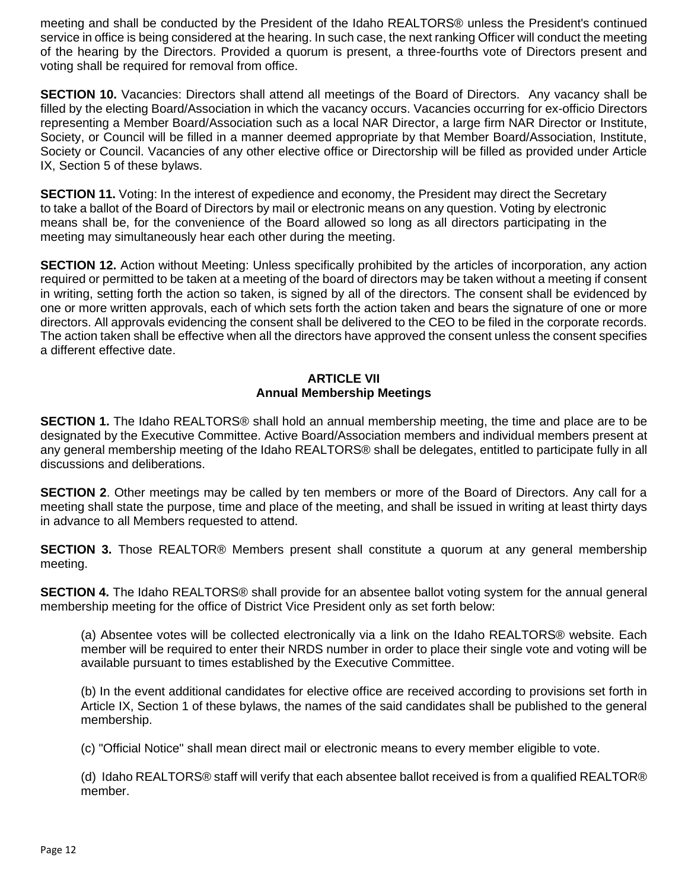meeting and shall be conducted by the President of the Idaho REALTORS® unless the President's continued service in office is being considered at the hearing. In such case, the next ranking Officer will conduct the meeting of the hearing by the Directors. Provided a quorum is present, a three-fourths vote of Directors present and voting shall be required for removal from office.

**SECTION 10.** Vacancies: Directors shall attend all meetings of the Board of Directors. Any vacancy shall be filled by the electing Board/Association in which the vacancy occurs. Vacancies occurring for ex-officio Directors representing a Member Board/Association such as a local NAR Director, a large firm NAR Director or Institute, Society, or Council will be filled in a manner deemed appropriate by that Member Board/Association, Institute, Society or Council. Vacancies of any other elective office or Directorship will be filled as provided under Article IX, Section 5 of these bylaws.

**SECTION 11.** Voting: In the interest of expedience and economy, the President may direct the Secretary to take a ballot of the Board of Directors by mail or electronic means on any question. Voting by electronic means shall be, for the convenience of the Board allowed so long as all directors participating in the meeting may simultaneously hear each other during the meeting.

**SECTION 12.** Action without Meeting: Unless specifically prohibited by the articles of incorporation, any action required or permitted to be taken at a meeting of the board of directors may be taken without a meeting if consent in writing, setting forth the action so taken, is signed by all of the directors. The consent shall be evidenced by one or more written approvals, each of which sets forth the action taken and bears the signature of one or more directors. All approvals evidencing the consent shall be delivered to the CEO to be filed in the corporate records. The action taken shall be effective when all the directors have approved the consent unless the consent specifies a different effective date.

#### **ARTICLE VII Annual Membership Meetings**

**SECTION 1.** The Idaho REALTORS® shall hold an annual membership meeting, the time and place are to be designated by the Executive Committee. Active Board/Association members and individual members present at any general membership meeting of the Idaho REALTORS® shall be delegates, entitled to participate fully in all discussions and deliberations.

**SECTION 2**. Other meetings may be called by ten members or more of the Board of Directors. Any call for a meeting shall state the purpose, time and place of the meeting, and shall be issued in writing at least thirty days in advance to all Members requested to attend.

**SECTION 3.** Those REALTOR® Members present shall constitute a quorum at any general membership meeting.

**SECTION 4.** The Idaho REALTORS® shall provide for an absentee ballot voting system for the annual general membership meeting for the office of District Vice President only as set forth below:

(a) Absentee votes will be collected electronically via a link on the Idaho REALTORS® website. Each member will be required to enter their NRDS number in order to place their single vote and voting will be available pursuant to times established by the Executive Committee.

(b) In the event additional candidates for elective office are received according to provisions set forth in Article IX, Section 1 of these bylaws, the names of the said candidates shall be published to the general membership.

(c) "Official Notice" shall mean direct mail or electronic means to every member eligible to vote.

(d) Idaho REALTORS® staff will verify that each absentee ballot received is from a qualified REALTOR® member.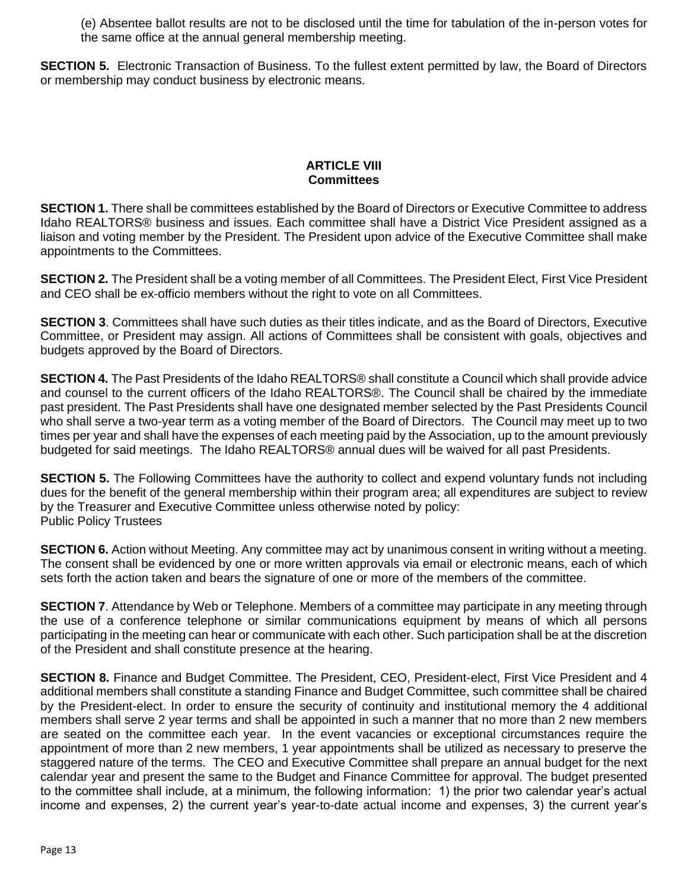(e) Absentee ballot results are not to be disclosed until the time for tabulation of the in-person votes for the same office at the annual general membership meeting.

**SECTION 5.** Electronic Transaction of Business. To the fullest extent permitted by law, the Board of Directors or membership may conduct business by electronic means.

#### **ARTICLE VIII Committees**

**SECTION 1.** There shall be committees established by the Board of Directors or Executive Committee to address Idaho REALTORS® business and issues. Each committee shall have a District Vice President assigned as a liaison and voting member by the President. The President upon advice of the Executive Committee shall make appointments to the Committees.

**SECTION 2.** The President shall be a voting member of all Committees. The President Elect, First Vice President and CEO shall be ex-officio members without the right to vote on all Committees.

**SECTION 3**. Committees shall have such duties as their titles indicate, and as the Board of Directors, Executive Committee, or President may assign. All actions of Committees shall be consistent with goals, objectives and budgets approved by the Board of Directors.

**SECTION 4.** The Past Presidents of the Idaho REALTORS® shall constitute a Council which shall provide advice and counsel to the current officers of the Idaho REALTORS®. The Council shall be chaired by the immediate past president. The Past Presidents shall have one designated member selected by the Past Presidents Council who shall serve a two-year term as a voting member of the Board of Directors. The Council may meet up to two times per year and shall have the expenses of each meeting paid by the Association, up to the amount previously budgeted for said meetings. The Idaho REALTORS® annual dues will be waived for all past Presidents.

**SECTION 5.** The Following Committees have the authority to collect and expend voluntary funds not including dues for the benefit of the general membership within their program area; all expenditures are subject to review by the Treasurer and Executive Committee unless otherwise noted by policy: Public Policy Trustees

**SECTION 6.** Action without Meeting. Any committee may act by unanimous consent in writing without a meeting. The consent shall be evidenced by one or more written approvals via email or electronic means, each of which sets forth the action taken and bears the signature of one or more of the members of the committee.

**SECTION 7**. Attendance by Web or Telephone. Members of a committee may participate in any meeting through the use of a conference telephone or similar communications equipment by means of which all persons participating in the meeting can hear or communicate with each other. Such participation shall be at the discretion of the President and shall constitute presence at the hearing.

**SECTION 8.** Finance and Budget Committee. The President, CEO, President-elect, First Vice President and 4 additional members shall constitute a standing Finance and Budget Committee, such committee shall be chaired by the President-elect. In order to ensure the security of continuity and institutional memory the 4 additional members shall serve 2 year terms and shall be appointed in such a manner that no more than 2 new members are seated on the committee each year. In the event vacancies or exceptional circumstances require the appointment of more than 2 new members, 1 year appointments shall be utilized as necessary to preserve the staggered nature of the terms. The CEO and Executive Committee shall prepare an annual budget for the next calendar year and present the same to the Budget and Finance Committee for approval. The budget presented to the committee shall include, at a minimum, the following information: 1) the prior two calendar year's actual income and expenses, 2) the current year's year-to-date actual income and expenses, 3) the current year's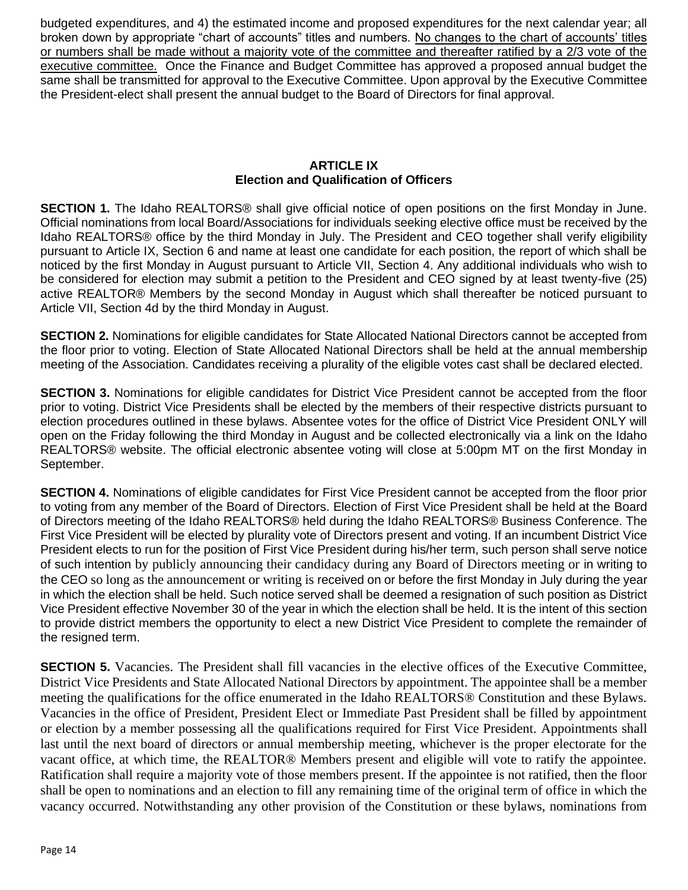budgeted expenditures, and 4) the estimated income and proposed expenditures for the next calendar year; all broken down by appropriate "chart of accounts" titles and numbers. No changes to the chart of accounts' titles or numbers shall be made without a majority vote of the committee and thereafter ratified by a 2/3 vote of the executive committee. Once the Finance and Budget Committee has approved a proposed annual budget the same shall be transmitted for approval to the Executive Committee. Upon approval by the Executive Committee the President-elect shall present the annual budget to the Board of Directors for final approval.

#### **ARTICLE IX Election and Qualification of Officers**

**SECTION 1.** The Idaho REALTORS® shall give official notice of open positions on the first Monday in June. Official nominations from local Board/Associations for individuals seeking elective office must be received by the Idaho REALTORS® office by the third Monday in July. The President and CEO together shall verify eligibility pursuant to Article IX, Section 6 and name at least one candidate for each position, the report of which shall be noticed by the first Monday in August pursuant to Article VII, Section 4. Any additional individuals who wish to be considered for election may submit a petition to the President and CEO signed by at least twenty-five (25) active REALTOR® Members by the second Monday in August which shall thereafter be noticed pursuant to Article VII, Section 4d by the third Monday in August.

**SECTION 2.** Nominations for eligible candidates for State Allocated National Directors cannot be accepted from the floor prior to voting. Election of State Allocated National Directors shall be held at the annual membership meeting of the Association. Candidates receiving a plurality of the eligible votes cast shall be declared elected.

**SECTION 3.** Nominations for eligible candidates for District Vice President cannot be accepted from the floor prior to voting. District Vice Presidents shall be elected by the members of their respective districts pursuant to election procedures outlined in these bylaws. Absentee votes for the office of District Vice President ONLY will open on the Friday following the third Monday in August and be collected electronically via a link on the Idaho REALTORS® website. The official electronic absentee voting will close at 5:00pm MT on the first Monday in September.

**SECTION 4.** Nominations of eligible candidates for First Vice President cannot be accepted from the floor prior to voting from any member of the Board of Directors. Election of First Vice President shall be held at the Board of Directors meeting of the Idaho REALTORS® held during the Idaho REALTORS® Business Conference. The First Vice President will be elected by plurality vote of Directors present and voting. If an incumbent District Vice President elects to run for the position of First Vice President during his/her term, such person shall serve notice of such intention by publicly announcing their candidacy during any Board of Directors meeting or in writing to the CEO so long as the announcement or writing is received on or before the first Monday in July during the year in which the election shall be held. Such notice served shall be deemed a resignation of such position as District Vice President effective November 30 of the year in which the election shall be held. It is the intent of this section to provide district members the opportunity to elect a new District Vice President to complete the remainder of the resigned term.

**SECTION 5.** Vacancies. The President shall fill vacancies in the elective offices of the Executive Committee, District Vice Presidents and State Allocated National Directors by appointment. The appointee shall be a member meeting the qualifications for the office enumerated in the Idaho REALTORS® Constitution and these Bylaws. Vacancies in the office of President, President Elect or Immediate Past President shall be filled by appointment or election by a member possessing all the qualifications required for First Vice President. Appointments shall last until the next board of directors or annual membership meeting, whichever is the proper electorate for the vacant office, at which time, the REALTOR® Members present and eligible will vote to ratify the appointee. Ratification shall require a majority vote of those members present. If the appointee is not ratified, then the floor shall be open to nominations and an election to fill any remaining time of the original term of office in which the vacancy occurred. Notwithstanding any other provision of the Constitution or these bylaws, nominations from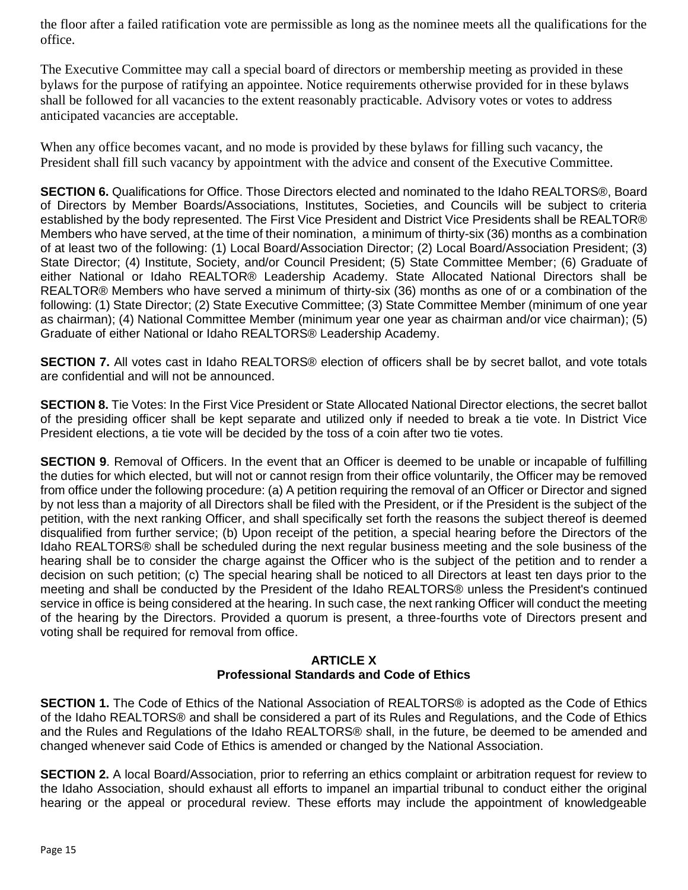the floor after a failed ratification vote are permissible as long as the nominee meets all the qualifications for the office.

The Executive Committee may call a special board of directors or membership meeting as provided in these bylaws for the purpose of ratifying an appointee. Notice requirements otherwise provided for in these bylaws shall be followed for all vacancies to the extent reasonably practicable. Advisory votes or votes to address anticipated vacancies are acceptable.

When any office becomes vacant, and no mode is provided by these bylaws for filling such vacancy, the President shall fill such vacancy by appointment with the advice and consent of the Executive Committee.

**SECTION 6.** Qualifications for Office. Those Directors elected and nominated to the Idaho REALTORS®, Board of Directors by Member Boards/Associations, Institutes, Societies, and Councils will be subject to criteria established by the body represented. The First Vice President and District Vice Presidents shall be REALTOR® Members who have served, at the time of their nomination, a minimum of thirty-six (36) months as a combination of at least two of the following: (1) Local Board/Association Director; (2) Local Board/Association President; (3) State Director; (4) Institute, Society, and/or Council President; (5) State Committee Member; (6) Graduate of either National or Idaho REALTOR® Leadership Academy. State Allocated National Directors shall be REALTOR® Members who have served a minimum of thirty-six (36) months as one of or a combination of the following: (1) State Director; (2) State Executive Committee; (3) State Committee Member (minimum of one year as chairman); (4) National Committee Member (minimum year one year as chairman and/or vice chairman); (5) Graduate of either National or Idaho REALTORS® Leadership Academy.

**SECTION 7.** All votes cast in Idaho REALTORS® election of officers shall be by secret ballot, and vote totals are confidential and will not be announced.

**SECTION 8.** Tie Votes: In the First Vice President or State Allocated National Director elections, the secret ballot of the presiding officer shall be kept separate and utilized only if needed to break a tie vote. In District Vice President elections, a tie vote will be decided by the toss of a coin after two tie votes.

**SECTION 9.** Removal of Officers. In the event that an Officer is deemed to be unable or incapable of fulfilling the duties for which elected, but will not or cannot resign from their office voluntarily, the Officer may be removed from office under the following procedure: (a) A petition requiring the removal of an Officer or Director and signed by not less than a majority of all Directors shall be filed with the President, or if the President is the subject of the petition, with the next ranking Officer, and shall specifically set forth the reasons the subject thereof is deemed disqualified from further service; (b) Upon receipt of the petition, a special hearing before the Directors of the Idaho REALTORS® shall be scheduled during the next regular business meeting and the sole business of the hearing shall be to consider the charge against the Officer who is the subject of the petition and to render a decision on such petition; (c) The special hearing shall be noticed to all Directors at least ten days prior to the meeting and shall be conducted by the President of the Idaho REALTORS® unless the President's continued service in office is being considered at the hearing. In such case, the next ranking Officer will conduct the meeting of the hearing by the Directors. Provided a quorum is present, a three-fourths vote of Directors present and voting shall be required for removal from office.

#### **ARTICLE X Professional Standards and Code of Ethics**

**SECTION 1.** The Code of Ethics of the National Association of REALTORS® is adopted as the Code of Ethics of the Idaho REALTORS® and shall be considered a part of its Rules and Regulations, and the Code of Ethics and the Rules and Regulations of the Idaho REALTORS® shall, in the future, be deemed to be amended and changed whenever said Code of Ethics is amended or changed by the National Association.

**SECTION 2.** A local Board/Association, prior to referring an ethics complaint or arbitration request for review to the Idaho Association, should exhaust all efforts to impanel an impartial tribunal to conduct either the original hearing or the appeal or procedural review. These efforts may include the appointment of knowledgeable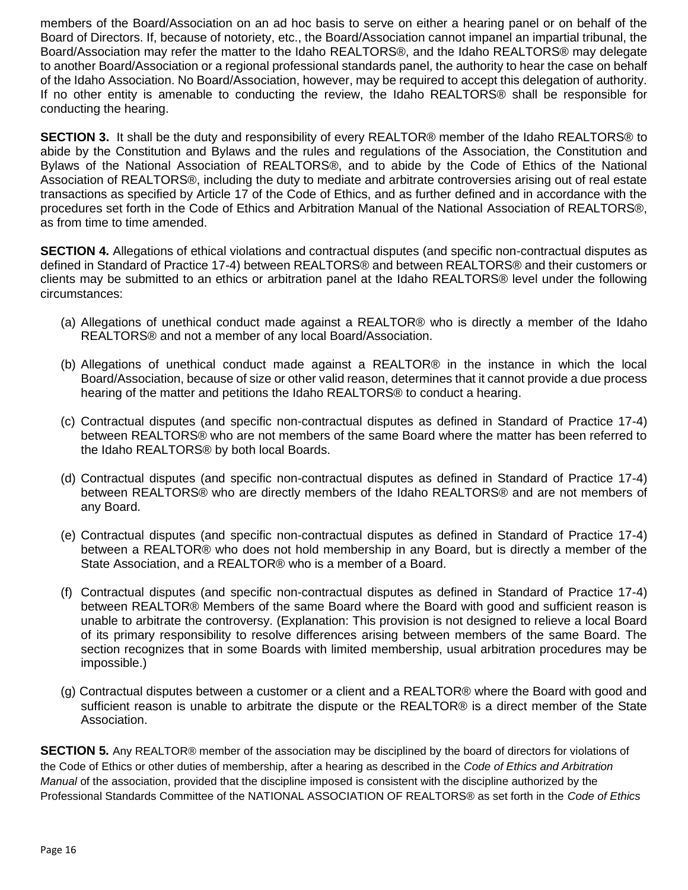members of the Board/Association on an ad hoc basis to serve on either a hearing panel or on behalf of the Board of Directors. If, because of notoriety, etc., the Board/Association cannot impanel an impartial tribunal, the Board/Association may refer the matter to the Idaho REALTORS®, and the Idaho REALTORS® may delegate to another Board/Association or a regional professional standards panel, the authority to hear the case on behalf of the Idaho Association. No Board/Association, however, may be required to accept this delegation of authority. If no other entity is amenable to conducting the review, the Idaho REALTORS® shall be responsible for conducting the hearing.

**SECTION 3.** It shall be the duty and responsibility of every REALTOR® member of the Idaho REALTORS® to abide by the Constitution and Bylaws and the rules and regulations of the Association, the Constitution and Bylaws of the National Association of REALTORS®, and to abide by the Code of Ethics of the National Association of REALTORS®, including the duty to mediate and arbitrate controversies arising out of real estate transactions as specified by Article 17 of the Code of Ethics, and as further defined and in accordance with the procedures set forth in the Code of Ethics and Arbitration Manual of the National Association of REALTORS®, as from time to time amended.

**SECTION 4.** Allegations of ethical violations and contractual disputes (and specific non-contractual disputes as defined in Standard of Practice 17-4) between REALTORS® and between REALTORS® and their customers or clients may be submitted to an ethics or arbitration panel at the Idaho REALTORS® level under the following circumstances:

- (a) Allegations of unethical conduct made against a REALTOR® who is directly a member of the Idaho REALTORS® and not a member of any local Board/Association.
- (b) Allegations of unethical conduct made against a REALTOR® in the instance in which the local Board/Association, because of size or other valid reason, determines that it cannot provide a due process hearing of the matter and petitions the Idaho REALTORS® to conduct a hearing.
- (c) Contractual disputes (and specific non-contractual disputes as defined in Standard of Practice 17-4) between REALTORS® who are not members of the same Board where the matter has been referred to the Idaho REALTORS® by both local Boards.
- (d) Contractual disputes (and specific non-contractual disputes as defined in Standard of Practice 17-4) between REALTORS® who are directly members of the Idaho REALTORS® and are not members of any Board.
- (e) Contractual disputes (and specific non-contractual disputes as defined in Standard of Practice 17-4) between a REALTOR® who does not hold membership in any Board, but is directly a member of the State Association, and a REALTOR® who is a member of a Board.
- (f) Contractual disputes (and specific non-contractual disputes as defined in Standard of Practice 17-4) between REALTOR® Members of the same Board where the Board with good and sufficient reason is unable to arbitrate the controversy. (Explanation: This provision is not designed to relieve a local Board of its primary responsibility to resolve differences arising between members of the same Board. The section recognizes that in some Boards with limited membership, usual arbitration procedures may be impossible.)
- (g) Contractual disputes between a customer or a client and a REALTOR® where the Board with good and sufficient reason is unable to arbitrate the dispute or the REALTOR® is a direct member of the State Association.

**SECTION 5.** Any REALTOR® member of the association may be disciplined by the board of directors for violations of the Code of Ethics or other duties of membership, after a hearing as described in the *Code of Ethics and Arbitration Manual* of the association, provided that the discipline imposed is consistent with the discipline authorized by the Professional Standards Committee of the NATIONAL ASSOCIATION OF REALTORS® as set forth in the *Code of Ethics*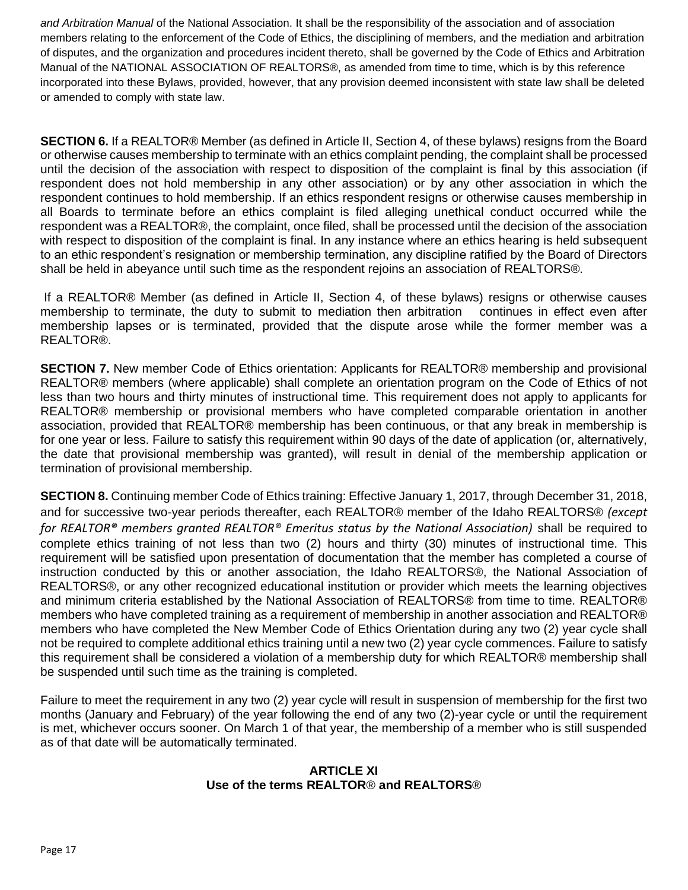*and Arbitration Manual* of the National Association. It shall be the responsibility of the association and of association members relating to the enforcement of the Code of Ethics, the disciplining of members, and the mediation and arbitration of disputes, and the organization and procedures incident thereto, shall be governed by the Code of Ethics and Arbitration Manual of the NATIONAL ASSOCIATION OF REALTORS®, as amended from time to time, which is by this reference incorporated into these Bylaws, provided, however, that any provision deemed inconsistent with state law shall be deleted or amended to comply with state law.

**SECTION 6.** If a REALTOR® Member (as defined in Article II, Section 4, of these bylaws) resigns from the Board or otherwise causes membership to terminate with an ethics complaint pending, the complaint shall be processed until the decision of the association with respect to disposition of the complaint is final by this association (if respondent does not hold membership in any other association) or by any other association in which the respondent continues to hold membership. If an ethics respondent resigns or otherwise causes membership in all Boards to terminate before an ethics complaint is filed alleging unethical conduct occurred while the respondent was a REALTOR®, the complaint, once filed, shall be processed until the decision of the association with respect to disposition of the complaint is final. In any instance where an ethics hearing is held subsequent to an ethic respondent's resignation or membership termination, any discipline ratified by the Board of Directors shall be held in abeyance until such time as the respondent rejoins an association of REALTORS®.

If a REALTOR® Member (as defined in Article II, Section 4, of these bylaws) resigns or otherwise causes membership to terminate, the duty to submit to mediation then arbitration continues in effect even after membership lapses or is terminated, provided that the dispute arose while the former member was a REALTOR®.

**SECTION 7.** New member Code of Ethics orientation: Applicants for REALTOR® membership and provisional REALTOR® members (where applicable) shall complete an orientation program on the Code of Ethics of not less than two hours and thirty minutes of instructional time. This requirement does not apply to applicants for REALTOR® membership or provisional members who have completed comparable orientation in another association, provided that REALTOR® membership has been continuous, or that any break in membership is for one year or less. Failure to satisfy this requirement within 90 days of the date of application (or, alternatively, the date that provisional membership was granted), will result in denial of the membership application or termination of provisional membership.

**SECTION 8.** Continuing member Code of Ethics training: Effective January 1, 2017, through December 31, 2018, and for successive two-year periods thereafter, each REALTOR® member of the Idaho REALTORS® *(except for REALTOR® members granted REALTOR® Emeritus status by the National Association)* shall be required to complete ethics training of not less than two (2) hours and thirty (30) minutes of instructional time. This requirement will be satisfied upon presentation of documentation that the member has completed a course of instruction conducted by this or another association, the Idaho REALTORS®, the National Association of REALTORS®, or any other recognized educational institution or provider which meets the learning objectives and minimum criteria established by the National Association of REALTORS® from time to time. REALTOR® members who have completed training as a requirement of membership in another association and REALTOR® members who have completed the New Member Code of Ethics Orientation during any two (2) year cycle shall not be required to complete additional ethics training until a new two (2) year cycle commences. Failure to satisfy this requirement shall be considered a violation of a membership duty for which REALTOR® membership shall be suspended until such time as the training is completed.

Failure to meet the requirement in any two (2) year cycle will result in suspension of membership for the first two months (January and February) of the year following the end of any two (2)-year cycle or until the requirement is met, whichever occurs sooner. On March 1 of that year, the membership of a member who is still suspended as of that date will be automatically terminated.

## **ARTICLE XI Use of the terms REALTOR**® **and REALTORS**®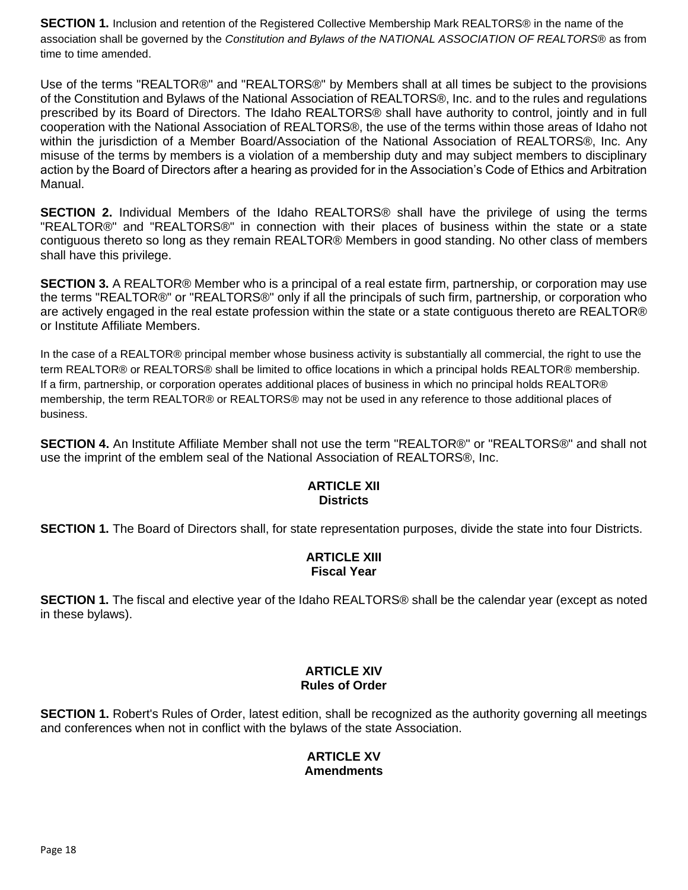**SECTION 1.** Inclusion and retention of the Registered Collective Membership Mark REALTORS® in the name of the association shall be governed by the *Constitution and Bylaws of the NATIONAL ASSOCIATION OF REALTORS®* as from time to time amended.

Use of the terms "REALTOR®" and "REALTORS®" by Members shall at all times be subject to the provisions of the Constitution and Bylaws of the National Association of REALTORS®, Inc. and to the rules and regulations prescribed by its Board of Directors. The Idaho REALTORS® shall have authority to control, jointly and in full cooperation with the National Association of REALTORS®, the use of the terms within those areas of Idaho not within the jurisdiction of a Member Board/Association of the National Association of REALTORS®, Inc. Any misuse of the terms by members is a violation of a membership duty and may subject members to disciplinary action by the Board of Directors after a hearing as provided for in the Association's Code of Ethics and Arbitration Manual.

**SECTION 2.** Individual Members of the Idaho REALTORS® shall have the privilege of using the terms "REALTOR®" and "REALTORS®" in connection with their places of business within the state or a state contiguous thereto so long as they remain REALTOR® Members in good standing. No other class of members shall have this privilege.

**SECTION 3.** A REALTOR® Member who is a principal of a real estate firm, partnership, or corporation may use the terms "REALTOR®" or "REALTORS®" only if all the principals of such firm, partnership, or corporation who are actively engaged in the real estate profession within the state or a state contiguous thereto are REALTOR® or Institute Affiliate Members.

In the case of a REALTOR® principal member whose business activity is substantially all commercial, the right to use the term REALTOR® or REALTORS® shall be limited to office locations in which a principal holds REALTOR® membership. If a firm, partnership, or corporation operates additional places of business in which no principal holds REALTOR® membership, the term REALTOR® or REALTORS® may not be used in any reference to those additional places of business.

**SECTION 4.** An Institute Affiliate Member shall not use the term "REALTOR®" or "REALTORS®" and shall not use the imprint of the emblem seal of the National Association of REALTORS®, Inc.

## **ARTICLE XII Districts**

**SECTION 1.** The Board of Directors shall, for state representation purposes, divide the state into four Districts.

## **ARTICLE XIII Fiscal Year**

**SECTION 1.** The fiscal and elective year of the Idaho REALTORS<sup>®</sup> shall be the calendar year (except as noted in these bylaws).

# **ARTICLE XIV Rules of Order**

**SECTION 1.** Robert's Rules of Order, latest edition, shall be recognized as the authority governing all meetings and conferences when not in conflict with the bylaws of the state Association.

## **ARTICLE XV Amendments**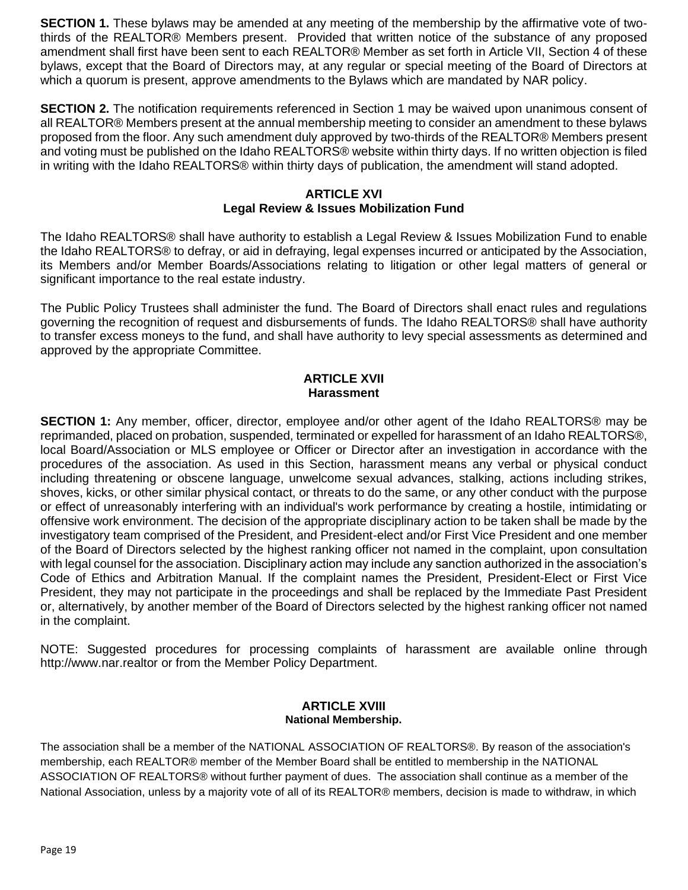**SECTION 1.** These bylaws may be amended at any meeting of the membership by the affirmative vote of twothirds of the REALTOR® Members present. Provided that written notice of the substance of any proposed amendment shall first have been sent to each REALTOR® Member as set forth in Article VII, Section 4 of these bylaws, except that the Board of Directors may, at any regular or special meeting of the Board of Directors at which a quorum is present, approve amendments to the Bylaws which are mandated by NAR policy.

**SECTION 2.** The notification requirements referenced in Section 1 may be waived upon unanimous consent of all REALTOR® Members present at the annual membership meeting to consider an amendment to these bylaws proposed from the floor. Any such amendment duly approved by two-thirds of the REALTOR® Members present and voting must be published on the Idaho REALTORS® website within thirty days. If no written objection is filed in writing with the Idaho REALTORS® within thirty days of publication, the amendment will stand adopted.

## **ARTICLE XVI Legal Review & Issues Mobilization Fund**

The Idaho REALTORS® shall have authority to establish a Legal Review & Issues Mobilization Fund to enable the Idaho REALTORS® to defray, or aid in defraying, legal expenses incurred or anticipated by the Association, its Members and/or Member Boards/Associations relating to litigation or other legal matters of general or significant importance to the real estate industry.

The Public Policy Trustees shall administer the fund. The Board of Directors shall enact rules and regulations governing the recognition of request and disbursements of funds. The Idaho REALTORS® shall have authority to transfer excess moneys to the fund, and shall have authority to levy special assessments as determined and approved by the appropriate Committee.

#### **ARTICLE XVII Harassment**

**SECTION 1:** Any member, officer, director, employee and/or other agent of the Idaho REALTORS® may be reprimanded, placed on probation, suspended, terminated or expelled for harassment of an Idaho REALTORS®, local Board/Association or MLS employee or Officer or Director after an investigation in accordance with the procedures of the association. As used in this Section, harassment means any verbal or physical conduct including threatening or obscene language, unwelcome sexual advances, stalking, actions including strikes, shoves, kicks, or other similar physical contact, or threats to do the same, or any other conduct with the purpose or effect of unreasonably interfering with an individual's work performance by creating a hostile, intimidating or offensive work environment. The decision of the appropriate disciplinary action to be taken shall be made by the investigatory team comprised of the President, and President-elect and/or First Vice President and one member of the Board of Directors selected by the highest ranking officer not named in the complaint, upon consultation with legal counsel for the association. Disciplinary action may include any sanction authorized in the association's Code of Ethics and Arbitration Manual. If the complaint names the President, President-Elect or First Vice President, they may not participate in the proceedings and shall be replaced by the Immediate Past President or, alternatively, by another member of the Board of Directors selected by the highest ranking officer not named in the complaint.

NOTE: Suggested procedures for processing complaints of harassment are available online through http://www.nar.realtor or from the Member Policy Department.

#### **ARTICLE XVIII National Membership.**

The association shall be a member of the NATIONAL ASSOCIATION OF REALTORS®. By reason of the association's membership, each REALTOR® member of the Member Board shall be entitled to membership in the NATIONAL ASSOCIATION OF REALTORS® without further payment of dues. The association shall continue as a member of the National Association, unless by a majority vote of all of its REALTOR® members, decision is made to withdraw, in which